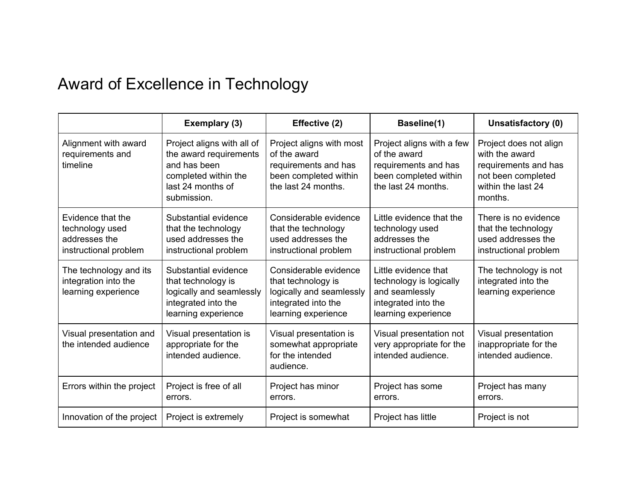## Award of Excellence in Technology

|                                                                                | Exemplary (3)                                                                                                                    | Effective (2)                                                                                                         | Baseline(1)                                                                                                       | Unsatisfactory (0)                                                                                                      |
|--------------------------------------------------------------------------------|----------------------------------------------------------------------------------------------------------------------------------|-----------------------------------------------------------------------------------------------------------------------|-------------------------------------------------------------------------------------------------------------------|-------------------------------------------------------------------------------------------------------------------------|
| Alignment with award<br>requirements and<br>timeline                           | Project aligns with all of<br>the award requirements<br>and has been<br>completed within the<br>last 24 months of<br>submission. | Project aligns with most<br>of the award<br>requirements and has<br>been completed within<br>the last 24 months.      | Project aligns with a few<br>of the award<br>requirements and has<br>been completed within<br>the last 24 months. | Project does not align<br>with the award<br>requirements and has<br>not been completed<br>within the last 24<br>months. |
| Evidence that the<br>technology used<br>addresses the<br>instructional problem | Substantial evidence<br>that the technology<br>used addresses the<br>instructional problem                                       | Considerable evidence<br>that the technology<br>used addresses the<br>instructional problem                           | Little evidence that the<br>technology used<br>addresses the<br>instructional problem                             | There is no evidence<br>that the technology<br>used addresses the<br>instructional problem                              |
| The technology and its<br>integration into the<br>learning experience          | Substantial evidence<br>that technology is<br>logically and seamlessly<br>integrated into the<br>learning experience             | Considerable evidence<br>that technology is<br>logically and seamlessly<br>integrated into the<br>learning experience | Little evidence that<br>technology is logically<br>and seamlessly<br>integrated into the<br>learning experience   | The technology is not<br>integrated into the<br>learning experience                                                     |
| Visual presentation and<br>the intended audience                               | Visual presentation is<br>appropriate for the<br>intended audience.                                                              | Visual presentation is<br>somewhat appropriate<br>for the intended<br>audience.                                       | Visual presentation not<br>very appropriate for the<br>intended audience.                                         | Visual presentation<br>inappropriate for the<br>intended audience.                                                      |
| Errors within the project                                                      | Project is free of all<br>errors.                                                                                                | Project has minor<br>errors.                                                                                          | Project has some<br>errors.                                                                                       | Project has many<br>errors.                                                                                             |
| Innovation of the project                                                      | Project is extremely                                                                                                             | Project is somewhat                                                                                                   | Project has little                                                                                                | Project is not                                                                                                          |